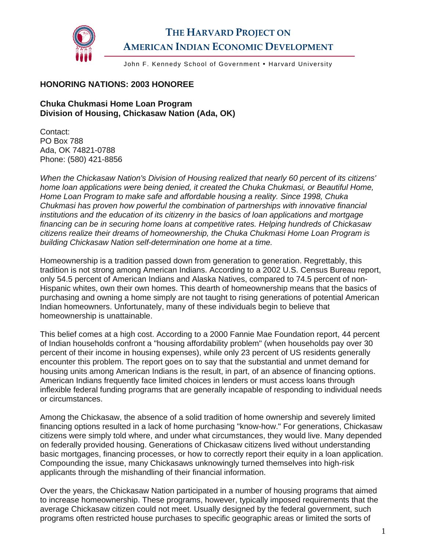

## **THE HARVARD PROJECT ON AMERICAN INDIAN ECONOMIC DEVELOPMENT**

John F. Kennedy School of Government . Harvard University

## **HONORING NATIONS: 2003 HONOREE**

## **Chuka Chukmasi Home Loan Program Division of Housing, Chickasaw Nation (Ada, OK)**

Contact: PO Box 788 Ada, OK 74821-0788 Phone: (580) 421-8856

*When the Chickasaw Nation's Division of Housing realized that nearly 60 percent of its citizens' home loan applications were being denied, it created the Chuka Chukmasi, or Beautiful Home, Home Loan Program to make safe and affordable housing a reality. Since 1998, Chuka Chukmasi has proven how powerful the combination of partnerships with innovative financial institutions and the education of its citizenry in the basics of loan applications and mortgage financing can be in securing home loans at competitive rates. Helping hundreds of Chickasaw citizens realize their dreams of homeownership, the Chuka Chukmasi Home Loan Program is building Chickasaw Nation self-determination one home at a time.* 

Homeownership is a tradition passed down from generation to generation. Regrettably, this tradition is not strong among American Indians. According to a 2002 U.S. Census Bureau report, only 54.5 percent of American Indians and Alaska Natives, compared to 74.5 percent of non-Hispanic whites, own their own homes. This dearth of homeownership means that the basics of purchasing and owning a home simply are not taught to rising generations of potential American Indian homeowners. Unfortunately, many of these individuals begin to believe that homeownership is unattainable.

This belief comes at a high cost. According to a 2000 Fannie Mae Foundation report, 44 percent of Indian households confront a "housing affordability problem" (when households pay over 30 percent of their income in housing expenses), while only 23 percent of US residents generally encounter this problem. The report goes on to say that the substantial and unmet demand for housing units among American Indians is the result, in part, of an absence of financing options. American Indians frequently face limited choices in lenders or must access loans through inflexible federal funding programs that are generally incapable of responding to individual needs or circumstances.

Among the Chickasaw, the absence of a solid tradition of home ownership and severely limited financing options resulted in a lack of home purchasing "know-how." For generations, Chickasaw citizens were simply told where, and under what circumstances, they would live. Many depended on federally provided housing. Generations of Chickasaw citizens lived without understanding basic mortgages, financing processes, or how to correctly report their equity in a loan application. Compounding the issue, many Chickasaws unknowingly turned themselves into high-risk applicants through the mishandling of their financial information.

Over the years, the Chickasaw Nation participated in a number of housing programs that aimed to increase homeownership. These programs, however, typically imposed requirements that the average Chickasaw citizen could not meet. Usually designed by the federal government, such programs often restricted house purchases to specific geographic areas or limited the sorts of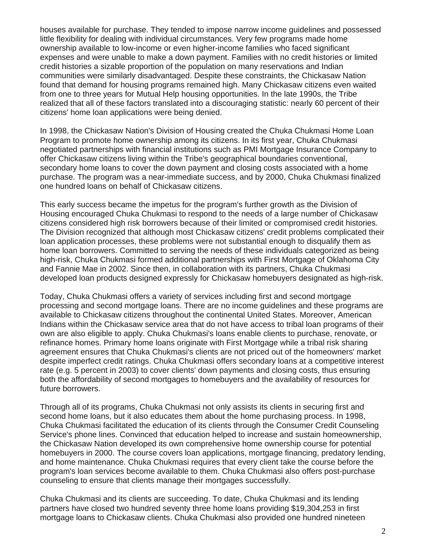houses available for purchase. They tended to impose narrow income guidelines and possessed little flexibility for dealing with individual circumstances. Very few programs made home ownership available to low-income or even higher-income families who faced significant expenses and were unable to make a down payment. Families with no credit histories or limited credit histories a sizable proportion of the population on many reservations and Indian communities were similarly disadvantaged. Despite these constraints, the Chickasaw Nation found that demand for housing programs remained high. Many Chickasaw citizens even waited from one to three years for Mutual Help housing opportunities. In the late 1990s, the Tribe realized that all of these factors translated into a discouraging statistic: nearly 60 percent of their citizens' home loan applications were being denied.

In 1998, the Chickasaw Nation's Division of Housing created the Chuka Chukmasi Home Loan Program to promote home ownership among its citizens. In its first year, Chuka Chukmasi negotiated partnerships with financial institutions such as PMI Mortgage Insurance Company to offer Chickasaw citizens living within the Tribe's geographical boundaries conventional, secondary home loans to cover the down payment and closing costs associated with a home purchase. The program was a near-immediate success, and by 2000, Chuka Chukmasi finalized one hundred loans on behalf of Chickasaw citizens.

This early success became the impetus for the program's further growth as the Division of Housing encouraged Chuka Chukmasi to respond to the needs of a large number of Chickasaw citizens considered high risk borrowers because of their limited or compromised credit histories. The Division recognized that although most Chickasaw citizens' credit problems complicated their loan application processes, these problems were not substantial enough to disqualify them as home loan borrowers. Committed to serving the needs of these individuals categorized as being high-risk, Chuka Chukmasi formed additional partnerships with First Mortgage of Oklahoma City and Fannie Mae in 2002. Since then, in collaboration with its partners, Chuka Chukmasi developed loan products designed expressly for Chickasaw homebuyers designated as high-risk.

Today, Chuka Chukmasi offers a variety of services including first and second mortgage processing and second mortgage loans. There are no income guidelines and these programs are available to Chickasaw citizens throughout the continental United States. Moreover, American Indians within the Chickasaw service area that do not have access to tribal loan programs of their own are also eligible to apply. Chuka Chukmasi's loans enable clients to purchase, renovate, or refinance homes. Primary home loans originate with First Mortgage while a tribal risk sharing agreement ensures that Chuka Chukmasi's clients are not priced out of the homeowners' market despite imperfect credit ratings. Chuka Chukmasi offers secondary loans at a competitive interest rate (e.g. 5 percent in 2003) to cover clients' down payments and closing costs, thus ensuring both the affordability of second mortgages to homebuyers and the availability of resources for future borrowers.

Through all of its programs, Chuka Chukmasi not only assists its clients in securing first and second home loans, but it also educates them about the home purchasing process. In 1998, Chuka Chukmasi facilitated the education of its clients through the Consumer Credit Counseling Service's phone lines. Convinced that education helped to increase and sustain homeownership, the Chickasaw Nation developed its own comprehensive home ownership course for potential homebuyers in 2000. The course covers loan applications, mortgage financing, predatory lending, and home maintenance. Chuka Chukmasi requires that every client take the course before the program's loan services become available to them. Chuka Chukmasi also offers post-purchase counseling to ensure that clients manage their mortgages successfully.

Chuka Chukmasi and its clients are succeeding. To date, Chuka Chukmasi and its lending partners have closed two hundred seventy three home loans providing \$19,304,253 in first mortgage loans to Chickasaw clients. Chuka Chukmasi also provided one hundred nineteen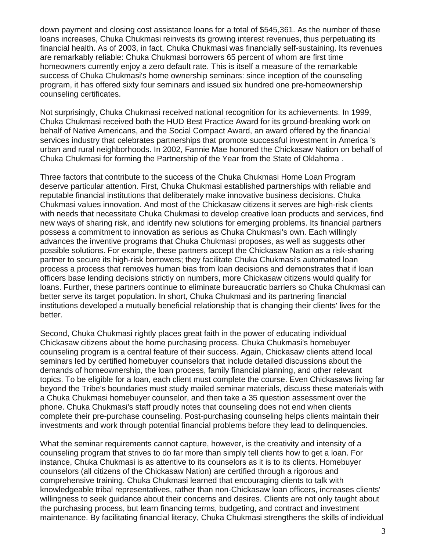down payment and closing cost assistance loans for a total of \$545,361. As the number of these loans increases, Chuka Chukmasi reinvests its growing interest revenues, thus perpetuating its financial health. As of 2003, in fact, Chuka Chukmasi was financially self-sustaining. Its revenues are remarkably reliable: Chuka Chukmasi borrowers 65 percent of whom are first time homeowners currently enjoy a zero default rate. This is itself a measure of the remarkable success of Chuka Chukmasi's home ownership seminars: since inception of the counseling program, it has offered sixty four seminars and issued six hundred one pre-homeownership counseling certificates.

Not surprisingly, Chuka Chukmasi received national recognition for its achievements. In 1999, Chuka Chukmasi received both the HUD Best Practice Award for its ground-breaking work on behalf of Native Americans, and the Social Compact Award, an award offered by the financial services industry that celebrates partnerships that promote successful investment in America 's urban and rural neighborhoods. In 2002, Fannie Mae honored the Chickasaw Nation on behalf of Chuka Chukmasi for forming the Partnership of the Year from the State of Oklahoma .

Three factors that contribute to the success of the Chuka Chukmasi Home Loan Program deserve particular attention. First, Chuka Chukmasi established partnerships with reliable and reputable financial institutions that deliberately make innovative business decisions. Chuka Chukmasi values innovation. And most of the Chickasaw citizens it serves are high-risk clients with needs that necessitate Chuka Chukmasi to develop creative loan products and services, find new ways of sharing risk, and identify new solutions for emerging problems. Its financial partners possess a commitment to innovation as serious as Chuka Chukmasi's own. Each willingly advances the inventive programs that Chuka Chukmasi proposes, as well as suggests other possible solutions. For example, these partners accept the Chickasaw Nation as a risk-sharing partner to secure its high-risk borrowers; they facilitate Chuka Chukmasi's automated loan process a process that removes human bias from loan decisions and demonstrates that if loan officers base lending decisions strictly on numbers, more Chickasaw citizens would qualify for loans. Further, these partners continue to eliminate bureaucratic barriers so Chuka Chukmasi can better serve its target population. In short, Chuka Chukmasi and its partnering financial institutions developed a mutually beneficial relationship that is changing their clients' lives for the better.

Second, Chuka Chukmasi rightly places great faith in the power of educating individual Chickasaw citizens about the home purchasing process. Chuka Chukmasi's homebuyer counseling program is a central feature of their success. Again, Chickasaw clients attend local seminars led by certified homebuyer counselors that include detailed discussions about the demands of homeownership, the loan process, family financial planning, and other relevant topics. To be eligible for a loan, each client must complete the course. Even Chickasaws living far beyond the Tribe's boundaries must study mailed seminar materials, discuss these materials with a Chuka Chukmasi homebuyer counselor, and then take a 35 question assessment over the phone. Chuka Chukmasi's staff proudly notes that counseling does not end when clients complete their pre-purchase counseling. Post-purchasing counseling helps clients maintain their investments and work through potential financial problems before they lead to delinquencies.

What the seminar requirements cannot capture, however, is the creativity and intensity of a counseling program that strives to do far more than simply tell clients how to get a loan. For instance, Chuka Chukmasi is as attentive to its counselors as it is to its clients. Homebuyer counselors (all citizens of the Chickasaw Nation) are certified through a rigorous and comprehensive training. Chuka Chukmasi learned that encouraging clients to talk with knowledgeable tribal representatives, rather than non-Chickasaw loan officers, increases clients' willingness to seek guidance about their concerns and desires. Clients are not only taught about the purchasing process, but learn financing terms, budgeting, and contract and investment maintenance. By facilitating financial literacy, Chuka Chukmasi strengthens the skills of individual